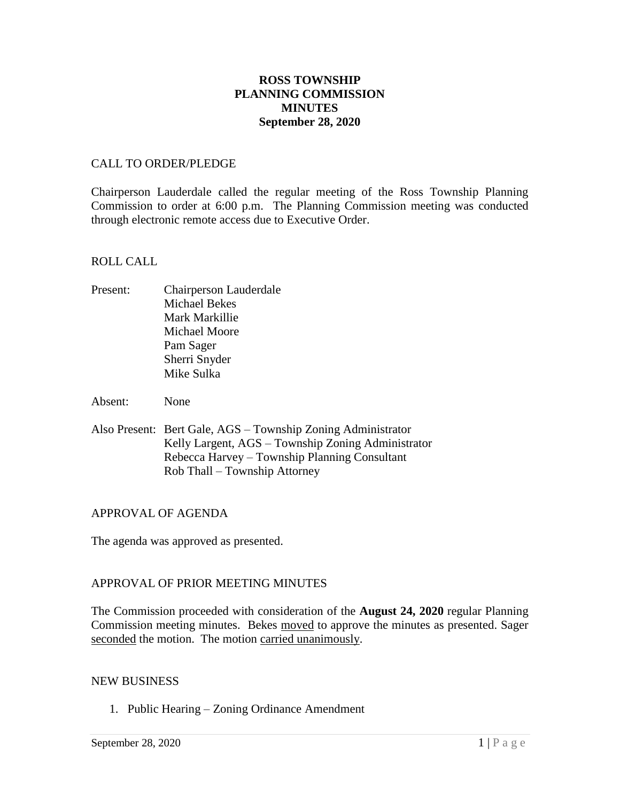## **ROSS TOWNSHIP PLANNING COMMISSION MINUTES September 28, 2020**

### CALL TO ORDER/PLEDGE

Chairperson Lauderdale called the regular meeting of the Ross Township Planning Commission to order at 6:00 p.m. The Planning Commission meeting was conducted through electronic remote access due to Executive Order.

#### ROLL CALL

- Present: Chairperson Lauderdale Michael Bekes Mark Markillie Michael Moore Pam Sager Sherri Snyder Mike Sulka
- Absent: None
- Also Present: Bert Gale, AGS Township Zoning Administrator Kelly Largent, AGS – Township Zoning Administrator Rebecca Harvey – Township Planning Consultant Rob Thall – Township Attorney

### APPROVAL OF AGENDA

The agenda was approved as presented.

### APPROVAL OF PRIOR MEETING MINUTES

The Commission proceeded with consideration of the **August 24, 2020** regular Planning Commission meeting minutes. Bekes moved to approve the minutes as presented. Sager seconded the motion. The motion carried unanimously.

#### NEW BUSINESS

1. Public Hearing – Zoning Ordinance Amendment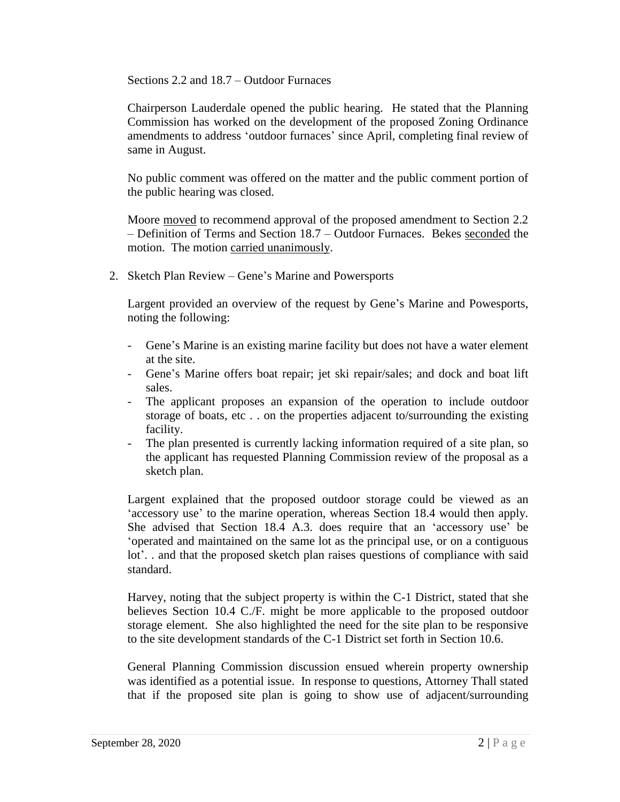Sections 2.2 and 18.7 – Outdoor Furnaces

Chairperson Lauderdale opened the public hearing. He stated that the Planning Commission has worked on the development of the proposed Zoning Ordinance amendments to address 'outdoor furnaces' since April, completing final review of same in August.

No public comment was offered on the matter and the public comment portion of the public hearing was closed.

Moore moved to recommend approval of the proposed amendment to Section 2.2 – Definition of Terms and Section 18.7 – Outdoor Furnaces. Bekes seconded the motion. The motion carried unanimously.

2. Sketch Plan Review – Gene's Marine and Powersports

Largent provided an overview of the request by Gene's Marine and Powesports, noting the following:

- Gene's Marine is an existing marine facility but does not have a water element at the site.
- Gene's Marine offers boat repair; jet ski repair/sales; and dock and boat lift sales.
- The applicant proposes an expansion of the operation to include outdoor storage of boats, etc . . on the properties adjacent to/surrounding the existing facility.
- The plan presented is currently lacking information required of a site plan, so the applicant has requested Planning Commission review of the proposal as a sketch plan.

Largent explained that the proposed outdoor storage could be viewed as an 'accessory use' to the marine operation, whereas Section 18.4 would then apply. She advised that Section 18.4 A.3. does require that an 'accessory use' be 'operated and maintained on the same lot as the principal use, or on a contiguous lot'. . and that the proposed sketch plan raises questions of compliance with said standard.

Harvey, noting that the subject property is within the C-1 District, stated that she believes Section 10.4 C./F. might be more applicable to the proposed outdoor storage element. She also highlighted the need for the site plan to be responsive to the site development standards of the C-1 District set forth in Section 10.6.

General Planning Commission discussion ensued wherein property ownership was identified as a potential issue. In response to questions, Attorney Thall stated that if the proposed site plan is going to show use of adjacent/surrounding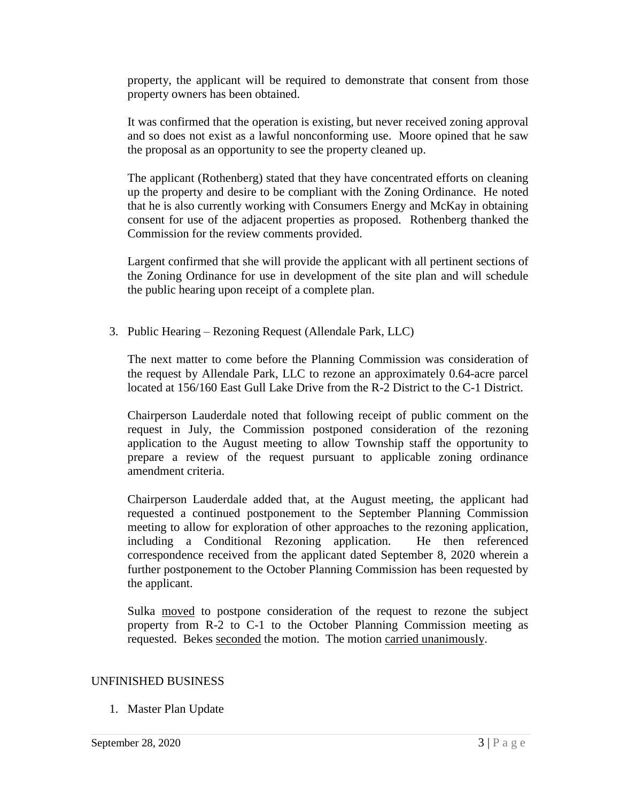property, the applicant will be required to demonstrate that consent from those property owners has been obtained.

It was confirmed that the operation is existing, but never received zoning approval and so does not exist as a lawful nonconforming use. Moore opined that he saw the proposal as an opportunity to see the property cleaned up.

The applicant (Rothenberg) stated that they have concentrated efforts on cleaning up the property and desire to be compliant with the Zoning Ordinance. He noted that he is also currently working with Consumers Energy and McKay in obtaining consent for use of the adjacent properties as proposed. Rothenberg thanked the Commission for the review comments provided.

Largent confirmed that she will provide the applicant with all pertinent sections of the Zoning Ordinance for use in development of the site plan and will schedule the public hearing upon receipt of a complete plan.

3. Public Hearing – Rezoning Request (Allendale Park, LLC)

The next matter to come before the Planning Commission was consideration of the request by Allendale Park, LLC to rezone an approximately 0.64-acre parcel located at 156/160 East Gull Lake Drive from the R-2 District to the C-1 District.

Chairperson Lauderdale noted that following receipt of public comment on the request in July, the Commission postponed consideration of the rezoning application to the August meeting to allow Township staff the opportunity to prepare a review of the request pursuant to applicable zoning ordinance amendment criteria.

Chairperson Lauderdale added that, at the August meeting, the applicant had requested a continued postponement to the September Planning Commission meeting to allow for exploration of other approaches to the rezoning application, including a Conditional Rezoning application. He then referenced correspondence received from the applicant dated September 8, 2020 wherein a further postponement to the October Planning Commission has been requested by the applicant.

Sulka moved to postpone consideration of the request to rezone the subject property from R-2 to C-1 to the October Planning Commission meeting as requested. Bekes seconded the motion. The motion carried unanimously.

### UNFINISHED BUSINESS

1. Master Plan Update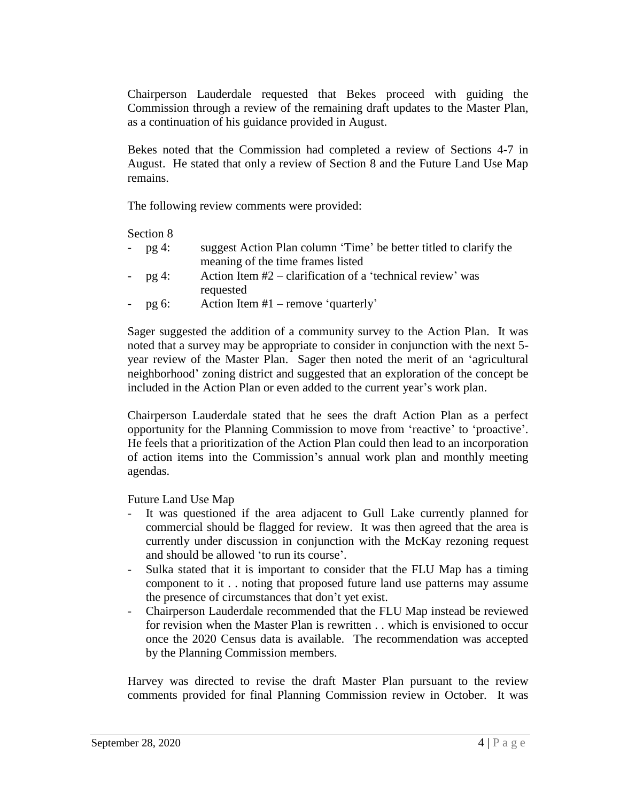Chairperson Lauderdale requested that Bekes proceed with guiding the Commission through a review of the remaining draft updates to the Master Plan, as a continuation of his guidance provided in August.

Bekes noted that the Commission had completed a review of Sections 4-7 in August. He stated that only a review of Section 8 and the Future Land Use Map remains.

The following review comments were provided:

Section 8

| - $pg$ 4: | suggest Action Plan column 'Time' be better titled to clarify the |
|-----------|-------------------------------------------------------------------|
|           | meaning of the time frames listed                                 |

- $pg 4$ : Action Item  $#2$  clarification of a 'technical review' was requested
- pg 6: Action Item  $#1$  remove 'quarterly'

Sager suggested the addition of a community survey to the Action Plan. It was noted that a survey may be appropriate to consider in conjunction with the next 5 year review of the Master Plan. Sager then noted the merit of an 'agricultural neighborhood' zoning district and suggested that an exploration of the concept be included in the Action Plan or even added to the current year's work plan.

Chairperson Lauderdale stated that he sees the draft Action Plan as a perfect opportunity for the Planning Commission to move from 'reactive' to 'proactive'. He feels that a prioritization of the Action Plan could then lead to an incorporation of action items into the Commission's annual work plan and monthly meeting agendas.

Future Land Use Map

- It was questioned if the area adjacent to Gull Lake currently planned for commercial should be flagged for review. It was then agreed that the area is currently under discussion in conjunction with the McKay rezoning request and should be allowed 'to run its course'.
- Sulka stated that it is important to consider that the FLU Map has a timing component to it . . noting that proposed future land use patterns may assume the presence of circumstances that don't yet exist.
- Chairperson Lauderdale recommended that the FLU Map instead be reviewed for revision when the Master Plan is rewritten . . which is envisioned to occur once the 2020 Census data is available. The recommendation was accepted by the Planning Commission members.

Harvey was directed to revise the draft Master Plan pursuant to the review comments provided for final Planning Commission review in October. It was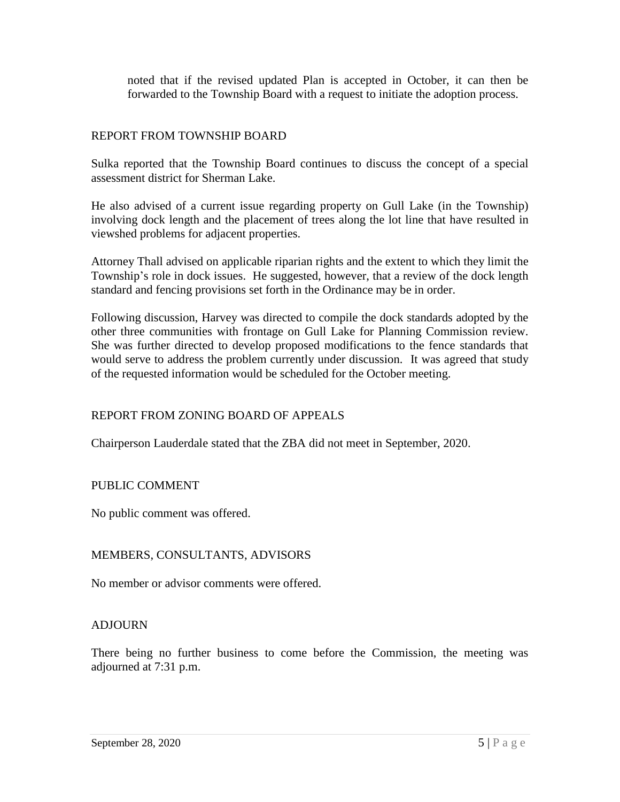noted that if the revised updated Plan is accepted in October, it can then be forwarded to the Township Board with a request to initiate the adoption process.

## REPORT FROM TOWNSHIP BOARD

Sulka reported that the Township Board continues to discuss the concept of a special assessment district for Sherman Lake.

He also advised of a current issue regarding property on Gull Lake (in the Township) involving dock length and the placement of trees along the lot line that have resulted in viewshed problems for adjacent properties.

Attorney Thall advised on applicable riparian rights and the extent to which they limit the Township's role in dock issues. He suggested, however, that a review of the dock length standard and fencing provisions set forth in the Ordinance may be in order.

Following discussion, Harvey was directed to compile the dock standards adopted by the other three communities with frontage on Gull Lake for Planning Commission review. She was further directed to develop proposed modifications to the fence standards that would serve to address the problem currently under discussion. It was agreed that study of the requested information would be scheduled for the October meeting.

# REPORT FROM ZONING BOARD OF APPEALS

Chairperson Lauderdale stated that the ZBA did not meet in September, 2020.

### PUBLIC COMMENT

No public comment was offered.

### MEMBERS, CONSULTANTS, ADVISORS

No member or advisor comments were offered.

### ADJOURN

There being no further business to come before the Commission, the meeting was adjourned at 7:31 p.m.